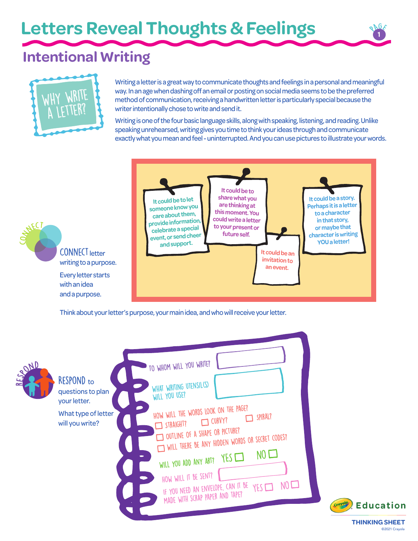**Letters Reveal Thoughts & Feelings** 

# **Intentional Writing**



with an idea and a purpose.

**CONNECT** 

Writing a letter is a great way to communicate thoughts and feelings in a personal and meaningful way. In an age when dashing off an email or posting on social media seems to be the preferred method of communication, receiving a handwritten letter is particularly special because the writer intentionally chose to write and send it.

Writing is one of the four basic language skills, along with speaking, listening, and reading. Unlike speaking unrehearsed, writing gives you time to think your ideas through and communicate exactly what you mean and feel - uninterrupted. And you can use pictures to illustrate your words.



Think about your letter's purpose, your main idea, and who will receive your letter.

| HAND | RESPOND to<br>questions to plan<br>your letter. | TO WHOM WILL YOU WRITE?<br>WHAT WRITING UTENSIL(S)<br>WILL YOU USE?                                                                                                                                                                                                                                                                                           |
|------|-------------------------------------------------|---------------------------------------------------------------------------------------------------------------------------------------------------------------------------------------------------------------------------------------------------------------------------------------------------------------------------------------------------------------|
|      | What type of letter<br>will you write?          | HOW WILL THE WORDS LOOK ON THE PAGE?<br>SPIRAL?<br><b>CURVY?</b><br>STRAIGHT?<br>OUTLINE OF A SHAPE OR PICTURE?<br>WILL THERE BE ANY HIDDEN WORDS OR SECRET CODES?<br>NO <sub>1</sub><br>YES<br>$\bullet$<br>WILL YOU ADD ANY ART?<br>HOW WILL IT BE SENT?<br>NO <sub>1</sub><br>IF YOU NEED AN ENVELOPE, CAN IT BE<br>YES<br>MADE WITH SCRAP PAPER AND TAPE? |



<sup>P</sup>AG<sup>E</sup>

©2021 Crayola